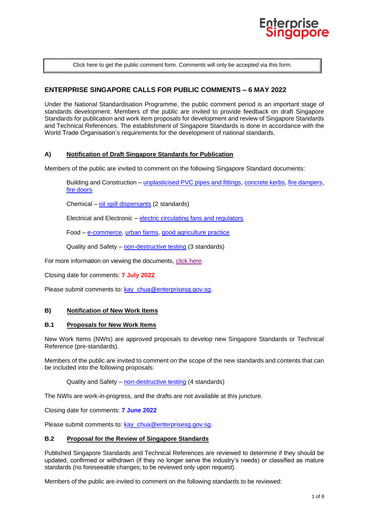

[Click here to get the public comment form. Comments will only be accepted via this form.](https://www.enterprisesg.gov.sg/-/media/ESG/Files/Quality%20and%20Standards/Standards/Public_comment_form)

# **ENTERPRISE SINGAPORE CALLS FOR PUBLIC COMMENTS – 6 MAY 2022**

Under the National Standardisation Programme, the public comment period is an important stage of standards development. Members of the public are invited to provide feedback on draft Singapore Standards for publication and work item proposals for development and review of Singapore Standards and Technical References. The establishment of Singapore Standards is done in accordance with the World Trade Organisation's requirements for the development of national standards.

## **A) Notification of Draft Singapore Standards for Publication**

Members of the public are invited to comment on the following Singapore Standard documents:

Building and Construction – [unplasticised PVC pipes and fittings,](#page-1-0) [concrete kerbs,](#page-1-1) [fire dampers,](#page-1-2) [fire doors](#page-2-0)

Chemical – [oil spill dispersants](#page-2-1) (2 standards)

Electrical and Electronic – [electric circulating fans and regulators](#page-2-2)

Food – [e-commerce,](#page-3-0) [urban farms,](#page-3-1) [good agriculture practice](#page-3-2)

Quality and Safety – [non-destructive testing](#page-3-3) (3 standards)

For more information on viewing the documents, [click here.](#page-4-0)

Closing date for comments: **7 July 2022**

Please submit comments to: [kay\\_chua@enterprisesg.gov.sg.](mailto:kay_chua@enterprisesg.gov.sg)

### **B) Notification of New Work Items**

#### **B.1 Proposals for New Work Items**

New Work Items (NWIs) are approved proposals to develop new Singapore Standards or Technical Reference (pre-standards).

Members of the public are invited to comment on the scope of the new standards and contents that can be included into the following proposals:

Quality and Safety – [non-destructive testing](#page-5-0) (4 standards)

The NWIs are work-in-progress, and the drafts are not available at this juncture.

Closing date for comments: **7 June 2022**

Please submit comments to: [kay\\_chua@enterprisesg.gov.sg.](mailto:kay_chua@enterprisesg.gov.sg)

#### **B.2 Proposal for the Review of Singapore Standards**

Published Singapore Standards and Technical References are reviewed to determine if they should be updated, confirmed or withdrawn (if they no longer serve the industry's needs) or classified as mature standards (no foreseeable changes; to be reviewed only upon request).

Members of the public are invited to comment on the following standards to be reviewed: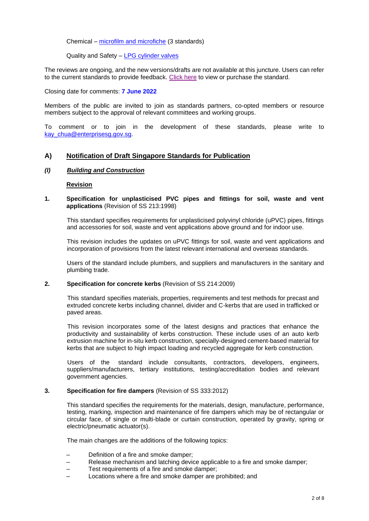Chemical – [microfilm and microfiche](#page-5-1) (3 standards)

Quality and Safety – [LPG cylinder valves](#page-6-0)

The reviews are ongoing, and the new versions/drafts are not available at this juncture. Users can refer to the current standards to provide feedback. [Click here](#page-4-0) to view or purchase the standard.

Closing date for comments: **7 June 2022**

Members of the public are invited to join as standards partners, co-opted members or resource members subject to the approval of relevant committees and working groups.

To comment or to join in the development of these standards, please write to [kay\\_chua@enterprisesg.gov.sg.](mailto:kay_chua@enterprisesg.gov.sg)

# **A) Notification of Draft Singapore Standards for Publication**

### *(I) Building and Construction*

### <span id="page-1-0"></span>**Revision**

**1. Specification for unplasticised PVC pipes and fittings for soil, waste and vent applications** (Revision of SS 213:1998)

This standard specifies requirements for unplasticised polyvinyl chloride (uPVC) pipes, fittings and accessories for soil, waste and vent applications above ground and for indoor use.

This revision includes the updates on uPVC fittings for soil, waste and vent applications and incorporation of provisions from the latest relevant international and overseas standards.

Users of the standard include plumbers, and suppliers and manufacturers in the sanitary and plumbing trade.

### **2. Specification for concrete kerbs** (Revision of SS 214:2009)

<span id="page-1-1"></span>This standard specifies materials, properties, requirements and test methods for precast and extruded concrete kerbs including channel, divider and C-kerbs that are used in trafficked or paved areas.

This revision incorporates some of the latest designs and practices that enhance the productivity and sustainability of kerbs construction. These include uses of an auto kerb extrusion machine for in-situ kerb construction, specially-designed cement-based material for kerbs that are subject to high impact loading and recycled aggregate for kerb construction.

Users of the standard include consultants, contractors, developers, engineers, suppliers/manufacturers, tertiary institutions, testing/accreditation bodies and relevant government agencies.

### **3. Specification for fire dampers** (Revision of SS 333:2012)

<span id="page-1-2"></span>This standard specifies the requirements for the materials, design, manufacture, performance, testing, marking, inspection and maintenance of fire dampers which may be of rectangular or circular face, of single or multi-blade or curtain construction, operated by gravity, spring or electric/pneumatic actuator(s).

The main changes are the additions of the following topics:

- Definition of a fire and smoke damper;
- Release mechanism and latching device applicable to a fire and smoke damper;
- Test requirements of a fire and smoke damper;
- Locations where a fire and smoke damper are prohibited; and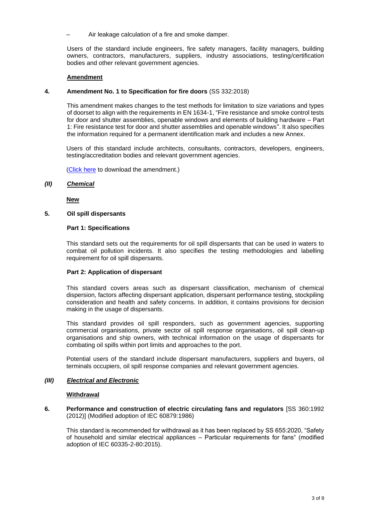– Air leakage calculation of a fire and smoke damper.

Users of the standard include engineers, fire safety managers, facility managers, building owners, contractors, manufacturers, suppliers, industry associations, testing/certification bodies and other relevant government agencies.

# **Amendment**

# **4. Amendment No. 1 to Specification for fire doors** (SS 332:2018)

<span id="page-2-0"></span>This amendment makes changes to the test methods for limitation to size variations and types of doorset to align with the requirements in EN 1634-1, "Fire resistance and smoke control tests for door and shutter assemblies, openable windows and elements of building hardware – Part 1: Fire resistance test for door and shutter assemblies and openable windows". It also specifies the information required for a permanent identification mark and includes a new Annex.

Users of this standard include architects, consultants, contractors, developers, engineers, testing/accreditation bodies and relevant government agencies.

[\(Click here](https://www.enterprisesg.gov.sg/-/media/F340CE07AF734A87B6820F5A63F74F9F.ashx) to download the amendment.)

*(II) Chemical*

<span id="page-2-1"></span>**New** 

# **5. Oil spill dispersants**

## **Part 1: Specifications**

This standard sets out the requirements for oil spill dispersants that can be used in waters to combat oil pollution incidents. It also specifies the testing methodologies and labelling requirement for oil spill dispersants.

# **Part 2: Application of dispersant**

This standard covers areas such as dispersant classification, mechanism of chemical dispersion, factors affecting dispersant application, dispersant performance testing, stockpiling consideration and health and safety concerns. In addition, it contains provisions for decision making in the usage of dispersants.

This standard provides oil spill responders, such as government agencies, supporting commercial organisations, private sector oil spill response organisations, oil spill clean-up organisations and ship owners, with technical information on the usage of dispersants for combating oil spills within port limits and approaches to the port.

Potential users of the standard include dispersant manufacturers, suppliers and buyers, oil terminals occupiers, oil spill response companies and relevant government agencies.

### *(III) Electrical and Electronic*

### <span id="page-2-2"></span>**Withdrawal**

**6. Performance and construction of electric circulating fans and regulators** [SS 360:1992 (2012)] (Modified adoption of IEC 60879:1986)

This standard is recommended for withdrawal as it has been replaced by SS 655:2020, "Safety of household and similar electrical appliances – Particular requirements for fans" (modified adoption of IEC 60335-2-80:2015).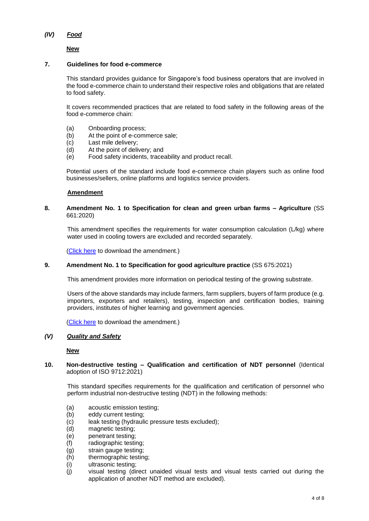# *(IV) Food*

# **New**

## **7. Guidelines for food e-commerce**

<span id="page-3-0"></span>This standard provides guidance for Singapore's food business operators that are involved in the food e-commerce chain to understand their respective roles and obligations that are related to food safety.

It covers recommended practices that are related to food safety in the following areas of the food e-commerce chain:

- (a) Onboarding process;
- (b) At the point of e-commerce sale;
- (c) Last mile delivery;
- (d) At the point of delivery; and
- (e) Food safety incidents, traceability and product recall.

Potential users of the standard include food e-commerce chain players such as online food businesses/sellers, online platforms and logistics service providers.

## <span id="page-3-1"></span>**Amendment**

# **8. Amendment No. 1 to Specification for clean and green urban farms – Agriculture** (SS 661:2020)

This amendment specifies the requirements for water consumption calculation (L/kg) where water used in cooling towers are excluded and recorded separately.

<span id="page-3-2"></span>[\(Click here](https://www.enterprisesg.gov.sg/-/media/5CB0F3B30E3D48DE9FC6BE3F7F8E0F1E.ashx) to download the amendment.)

# **9. Amendment No. 1 to Specification for good agriculture practice** (SS 675:2021)

This amendment provides more information on periodical testing of the growing substrate.

Users of the above standards may include farmers, farm suppliers, buyers of farm produce (e.g. importers, exporters and retailers), testing, inspection and certification bodies, training providers, institutes of higher learning and government agencies.

[\(Click here](https://www.enterprisesg.gov.sg/-/media/4C34E6B8EED04C33BA78113FB9530E10.ashx) to download the amendment.)

# *(V) Quality and Safety*

<span id="page-3-3"></span>**New**

## **10. Non-destructive testing – Qualification and certification of NDT personnel** (Identical adoption of ISO 9712:2021)

This standard specifies requirements for the qualification and certification of personnel who perform industrial non-destructive testing (NDT) in the following methods:

- (a) acoustic emission testing;
- (b) eddy current testing;
- (c) leak testing (hydraulic pressure tests excluded);
- (d) magnetic testing;
- (e) penetrant testing;
- (f) radiographic testing;
- (g) strain gauge testing;
- (h) thermographic testing;
- (i) ultrasonic testing;
- (j) visual testing (direct unaided visual tests and visual tests carried out during the application of another NDT method are excluded).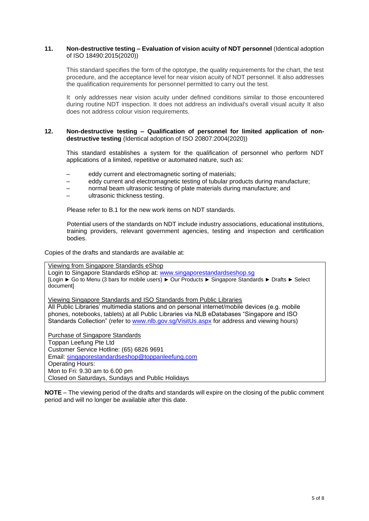### **11. Non-destructive testing – Evaluation of vision acuity of NDT personnel** (Identical adoption of ISO 18490:2015(2020))

This standard specifies the form of the optotype, the quality requirements for the chart, the test procedure, and the acceptance level for near vision acuity of NDT personnel. It also addresses the qualification requirements for personnel permitted to carry out the test.

It only addresses near vision acuity under defined conditions similar to those encountered during routine NDT inspection. It does not address an individual's overall visual acuity It also does not address colour vision requirements.

### **12. Non-destructive testing – Qualification of personnel for limited application of nondestructive testing** (Identical adoption of ISO 20807:2004(2020))

This standard establishes a system for the qualification of personnel who perform NDT applications of a limited, repetitive or automated nature, such as:

- eddy current and electromagnetic sorting of materials;
- eddy current and electromagnetic testing of tubular products during manufacture;
- normal beam ultrasonic testing of plate materials during manufacture; and
- ultrasonic thickness testing.

Please refer to B.1 for the new work items on NDT standards.

Potential users of the standards on NDT include industry associations, educational institutions, training providers, relevant government agencies, testing and inspection and certification bodies.

<span id="page-4-0"></span>Copies of the drafts and standards are available at:

Viewing from Singapore Standards eShop Login to Singapore Standards eShop at: [www.singaporestandardseshop.sg](http://www.singaporestandardseshop.sg/) [Login ► Go to Menu (3 bars for mobile users) ► Our Products ► Singapore Standards ► Drafts ► Select document] Viewing Singapore Standards and ISO Standards from Public Libraries

All Public Libraries' multimedia stations and on personal internet/mobile devices (e.g. mobile phones, notebooks, tablets) at all Public Libraries via NLB eDatabases "Singapore and ISO Standards Collection" (refer to [www.nlb.gov.sg/VisitUs.aspx](http://www.nlb.gov.sg/VisitUs.aspx) for address and viewing hours)

Purchase of Singapore Standards Toppan Leefung Pte Ltd Customer Service Hotline: (65) 6826 9691 Email: [singaporestandardseshop@toppanleefung.com](mailto:singaporestandardseshop@toppanleefung.com) Operating Hours: Mon to Fri: 9.30 am to 6.00 pm Closed on Saturdays, Sundays and Public Holidays

**NOTE** – The viewing period of the drafts and standards will expire on the closing of the public comment period and will no longer be available after this date.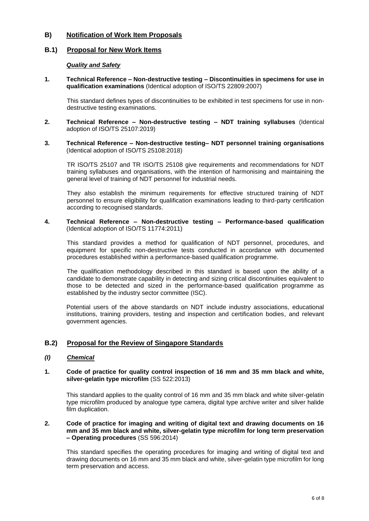# **B) Notification of Work Item Proposals**

# **B.1) Proposal for New Work Items**

# <span id="page-5-0"></span>*Quality and Safety*

**1. Technical Reference – Non-destructive testing – Discontinuities in specimens for use in qualification examinations** (Identical adoption of ISO/TS 22809:2007)

This standard defines types of discontinuities to be exhibited in test specimens for use in nondestructive testing examinations.

- **2. Technical Reference – Non-destructive testing – NDT training syllabuses** (Identical adoption of ISO/TS 25107:2019)
- **3. Technical Reference – Non-destructive testing– NDT personnel training organisations**  (Identical adoption of ISO/TS 25108:2018)

TR ISO/TS 25107 and TR ISO/TS 25108 give requirements and recommendations for NDT training syllabuses and organisations, with the intention of harmonising and maintaining the general level of training of NDT personnel for industrial needs.

They also establish the minimum requirements for effective structured training of NDT personnel to ensure eligibility for qualification examinations leading to third-party certification according to recognised standards.

**4. Technical Reference – Non-destructive testing – Performance-based qualification** (Identical adoption of ISO/TS 11774:2011)

This standard provides a method for qualification of NDT personnel, procedures, and equipment for specific non-destructive tests conducted in accordance with documented procedures established within a performance-based qualification programme.

The qualification methodology described in this standard is based upon the ability of a candidate to demonstrate capability in detecting and sizing critical discontinuities equivalent to those to be detected and sized in the performance-based qualification programme as established by the industry sector committee (ISC).

Potential users of the above standards on NDT include industry associations, educational institutions, training providers, testing and inspection and certification bodies, and relevant government agencies.

# **B.2) Proposal for the Review of Singapore Standards**

### *(I) Chemical*

### <span id="page-5-1"></span>**1. Code of practice for quality control inspection of 16 mm and 35 mm black and white, silver-gelatin type microfilm** (SS 522:2013)

This standard applies to the quality control of 16 mm and 35 mm black and white silver-gelatin type microfilm produced by analogue type camera, digital type archive writer and silver halide film duplication.

### **2. Code of practice for imaging and writing of digital text and drawing documents on 16 mm and 35 mm black and white, silver-gelatin type microfilm for long term preservation – Operating procedures** (SS 596:2014)

This standard specifies the operating procedures for imaging and writing of digital text and drawing documents on 16 mm and 35 mm black and white, silver-gelatin type microfilm for long term preservation and access.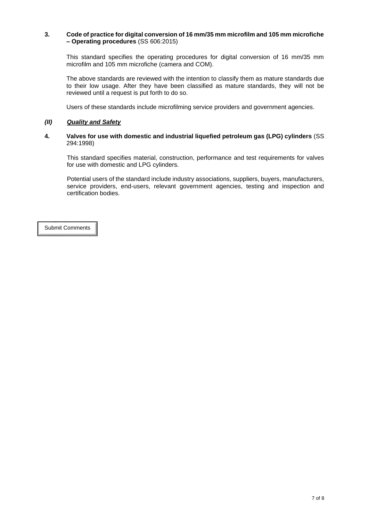## **3. Code of practice for digital conversion of 16 mm/35 mm microfilm and 105 mm microfiche – Operating procedures** (SS 606:2015)

This standard specifies the operating procedures for digital conversion of 16 mm/35 mm microfilm and 105 mm microfiche (camera and COM).

The above standards are reviewed with the intention to classify them as mature standards due to their low usage. After they have been classified as mature standards, they will not be reviewed until a request is put forth to do so.

Users of these standards include microfilming service providers and government agencies.

# *(II) Quality and Safety*

## <span id="page-6-0"></span>**4. Valves for use with domestic and industrial liquefied petroleum gas (LPG) cylinders** (SS 294:1998)

This standard specifies material, construction, performance and test requirements for valves for use with domestic and LPG cylinders.

Potential users of the standard include industry associations, suppliers, buyers, manufacturers, service providers, end-users, relevant government agencies, testing and inspection and certification bodies.

[Submit Comments](https://www.enterprisesg.gov.sg/-/media/ESG/Files/Quality%20and%20Standards/Standards/Public_comment_form)